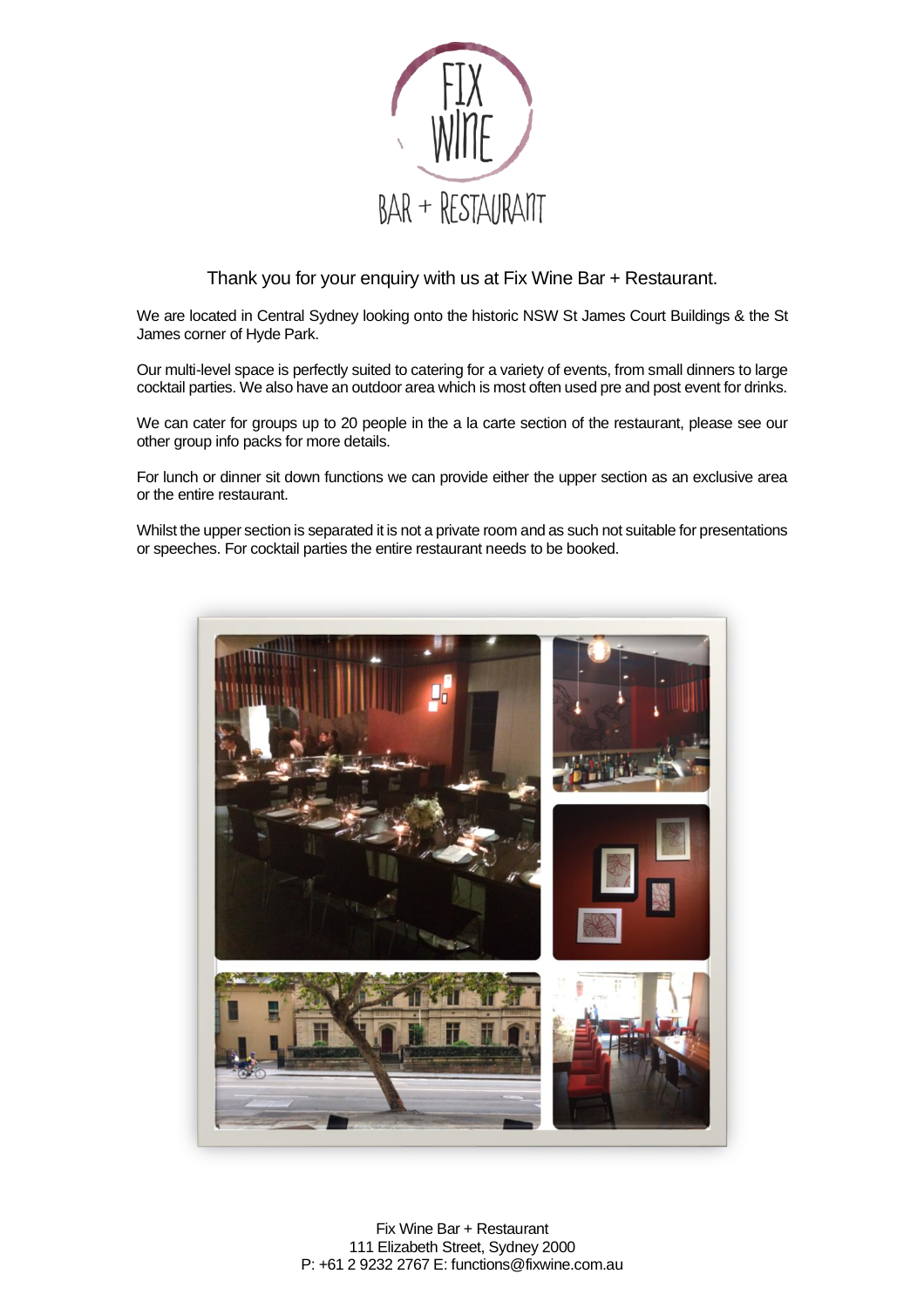

Thank you for your enquiry with us at Fix Wine Bar + Restaurant.

We are located in Central Sydney looking onto the historic NSW St James Court Buildings & the St James corner of Hyde Park.

Our multi-level space is perfectly suited to catering for a variety of events, from small dinners to large cocktail parties. We also have an outdoor area which is most often used pre and post event for drinks.

We can cater for groups up to 20 people in the a la carte section of the restaurant, please see our other group info packs for more details.

For lunch or dinner sit down functions we can provide either the upper section as an exclusive area or the entire restaurant.

Whilst the upper section is separated it is not a private room and as such not suitable for presentations or speeches. For cocktail parties the entire restaurant needs to be booked.

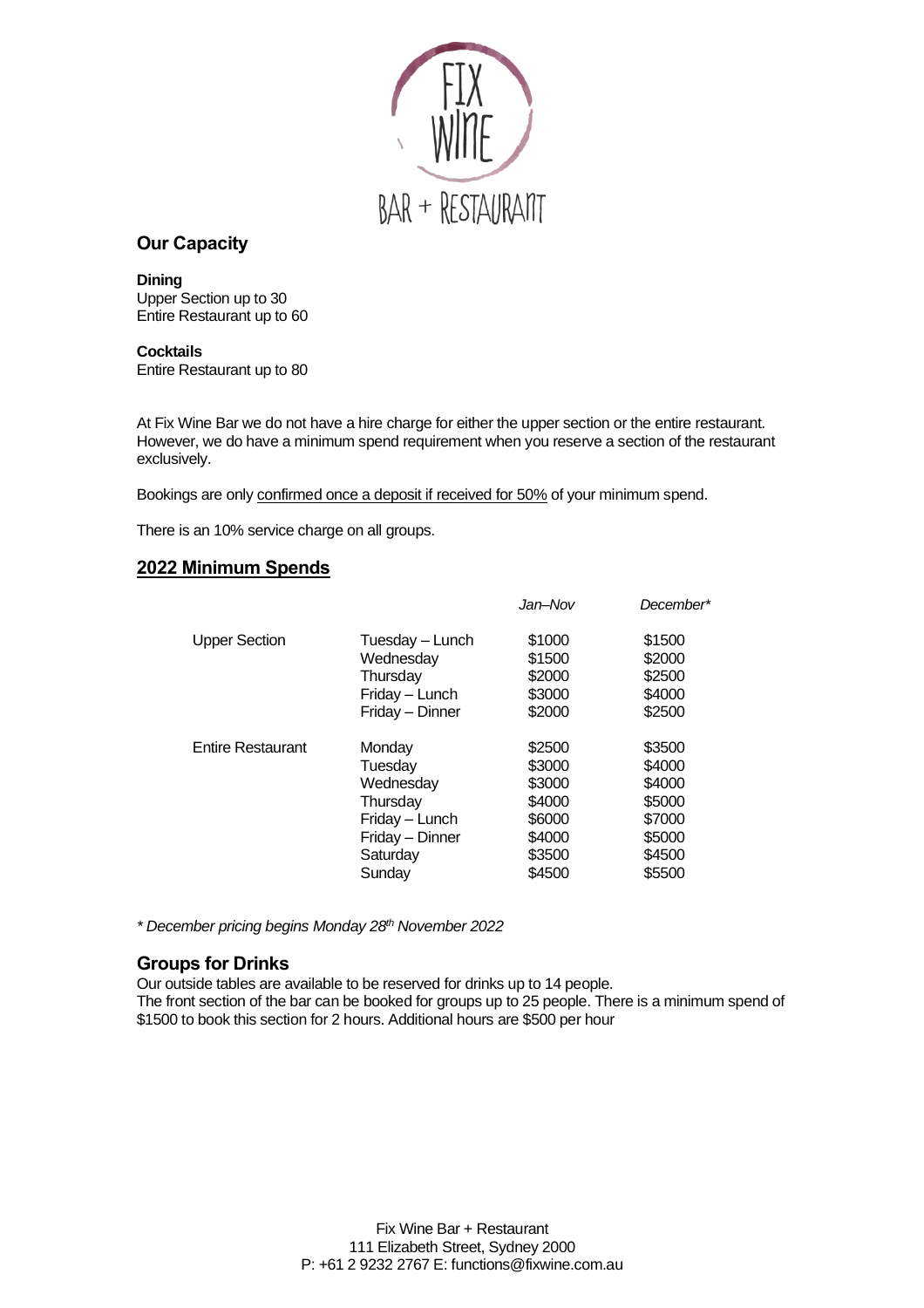

# **Our Capacity**

**Dining** Upper Section up to 30 Entire Restaurant up to 60

**Cocktails** Entire Restaurant up to 80

At Fix Wine Bar we do not have a hire charge for either the upper section or the entire restaurant. However, we do have a minimum spend requirement when you reserve a section of the restaurant exclusively.

Bookings are only confirmed once a deposit if received for 50% of your minimum spend.

There is an 10% service charge on all groups.

## **2022 Minimum Spends**

|                          |                 | Jan–Nov | December* |
|--------------------------|-----------------|---------|-----------|
| <b>Upper Section</b>     | Tuesday - Lunch | \$1000  | \$1500    |
|                          | Wednesday       | \$1500  | \$2000    |
|                          | Thursday        | \$2000  | \$2500    |
|                          | Friday - Lunch  | \$3000  | \$4000    |
|                          | Friday - Dinner | \$2000  | \$2500    |
| <b>Entire Restaurant</b> | Monday          | \$2500  | \$3500    |
|                          | Tuesday         | \$3000  | \$4000    |
|                          | Wednesday       | \$3000  | \$4000    |
|                          | Thursday        | \$4000  | \$5000    |
|                          | Friday - Lunch  | \$6000  | \$7000    |
|                          | Friday - Dinner | \$4000  | \$5000    |
|                          | Saturday        | \$3500  | \$4500    |
|                          | Sunday          | \$4500  | \$5500    |
|                          |                 |         |           |

*\* December pricing begins Monday 28th November 2022*

## **Groups for Drinks**

Our outside tables are available to be reserved for drinks up to 14 people. The front section of the bar can be booked for groups up to 25 people. There is a minimum spend of \$1500 to book this section for 2 hours. Additional hours are \$500 per hour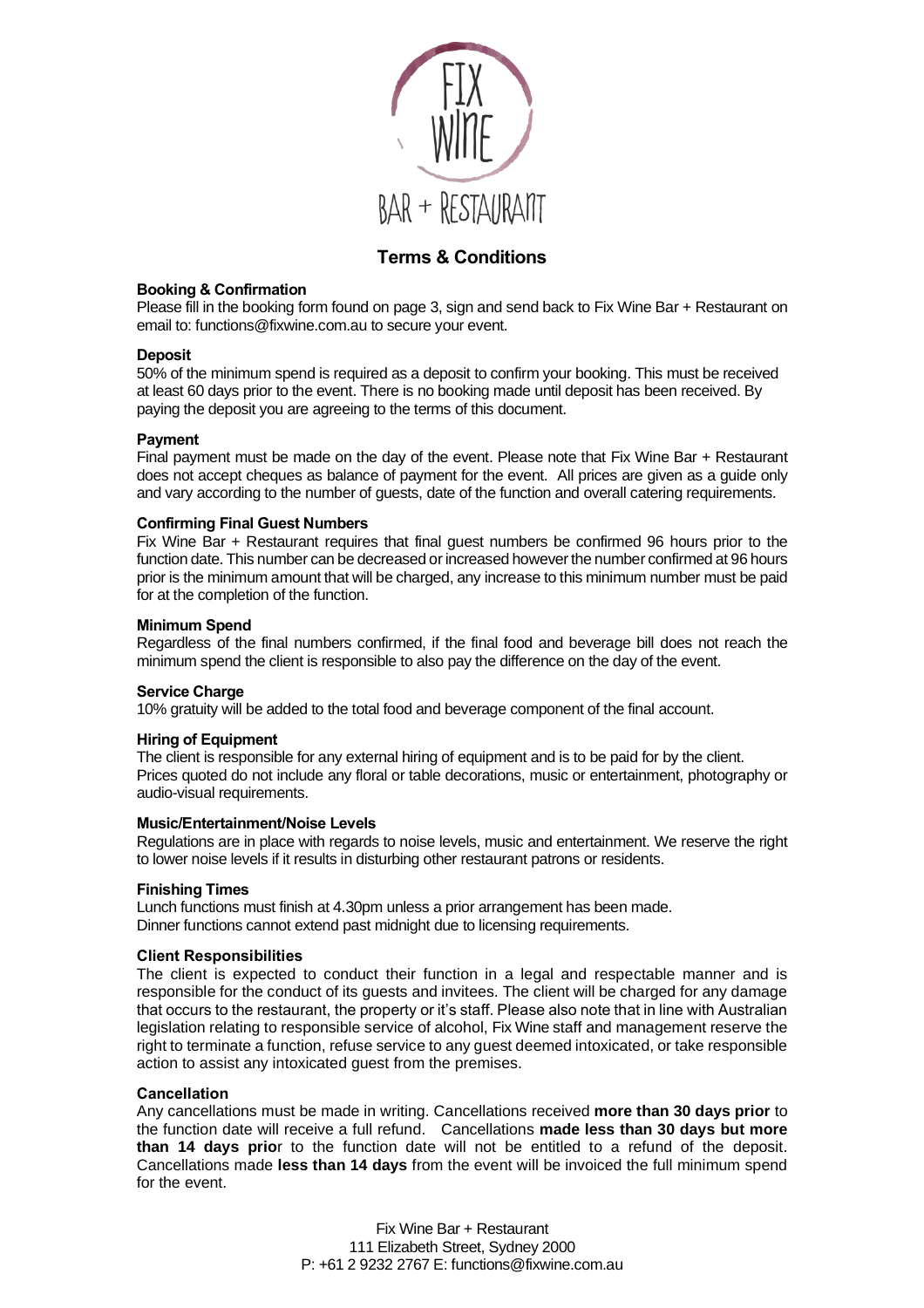

# **Terms & Conditions**

#### **Booking & Confirmation**

Please fill in the booking form found on page 3, sign and send back to Fix Wine Bar + Restaurant on email to: functions@fixwine.com.au to secure your event.

#### **Deposit**

50% of the minimum spend is required as a deposit to confirm your booking. This must be received at least 60 days prior to the event. There is no booking made until deposit has been received. By paying the deposit you are agreeing to the terms of this document.

#### **Payment**

Final payment must be made on the day of the event. Please note that Fix Wine Bar + Restaurant does not accept cheques as balance of payment for the event. All prices are given as a guide only and vary according to the number of guests, date of the function and overall catering requirements.

#### **Confirming Final Guest Numbers**

Fix Wine Bar + Restaurant requires that final guest numbers be confirmed 96 hours prior to the function date. This number can be decreased or increased however the number confirmed at 96 hours prior is the minimum amount that will be charged, any increase to this minimum number must be paid for at the completion of the function.

#### **Minimum Spend**

Regardless of the final numbers confirmed, if the final food and beverage bill does not reach the minimum spend the client is responsible to also pay the difference on the day of the event.

#### **Service Charge**

10% gratuity will be added to the total food and beverage component of the final account.

#### **Hiring of Equipment**

The client is responsible for any external hiring of equipment and is to be paid for by the client. Prices quoted do not include any floral or table decorations, music or entertainment, photography or audio-visual requirements.

#### **Music/Entertainment/Noise Levels**

Regulations are in place with regards to noise levels, music and entertainment. We reserve the right to lower noise levels if it results in disturbing other restaurant patrons or residents.

#### **Finishing Times**

Lunch functions must finish at 4.30pm unless a prior arrangement has been made. Dinner functions cannot extend past midnight due to licensing requirements.

### **Client Responsibilities**

The client is expected to conduct their function in a legal and respectable manner and is responsible for the conduct of its guests and invitees. The client will be charged for any damage that occurs to the restaurant, the property or it's staff. Please also note that in line with Australian legislation relating to responsible service of alcohol, Fix Wine staff and management reserve the right to terminate a function, refuse service to any guest deemed intoxicated, or take responsible action to assist any intoxicated guest from the premises.

#### **Cancellation**

Any cancellations must be made in writing. Cancellations received **more than 30 days prior** to the function date will receive a full refund. Cancellations **made less than 30 days but more than 14 days prio**r to the function date will not be entitled to a refund of the deposit. Cancellations made **less than 14 days** from the event will be invoiced the full minimum spend for the event.

> Fix Wine Bar + Restaurant 111 Elizabeth Street, Sydney 2000 P: +61 2 9232 2767 E: functions@fixwine.com.au